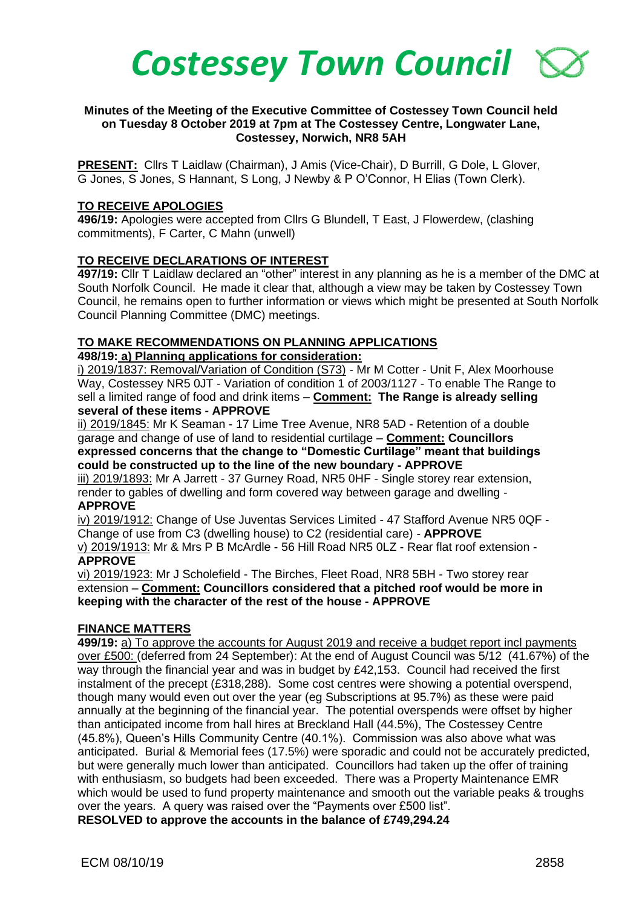

#### **Minutes of the Meeting of the Executive Committee of Costessey Town Council held on Tuesday 8 October 2019 at 7pm at The Costessey Centre, Longwater Lane, Costessey, Norwich, NR8 5AH**

**PRESENT:** Cllrs T Laidlaw (Chairman), J Amis (Vice-Chair), D Burrill, G Dole, L Glover, G Jones, S Jones, S Hannant, S Long, J Newby & P O'Connor, H Elias (Town Clerk).

#### **TO RECEIVE APOLOGIES**

**496/19:** Apologies were accepted from Cllrs G Blundell, T East, J Flowerdew, (clashing commitments), F Carter, C Mahn (unwell)

# **TO RECEIVE DECLARATIONS OF INTEREST**

**497/19:** Cllr T Laidlaw declared an "other" interest in any planning as he is a member of the DMC at South Norfolk Council. He made it clear that, although a view may be taken by Costessey Town Council, he remains open to further information or views which might be presented at South Norfolk Council Planning Committee (DMC) meetings.

#### **TO MAKE RECOMMENDATIONS ON PLANNING APPLICATIONS**

**498/19: a) Planning applications for consideration:**

i) 2019/1837: Removal/Variation of Condition (S73) - Mr M Cotter - Unit F, Alex Moorhouse Way, Costessey NR5 0JT - Variation of condition 1 of 2003/1127 - To enable The Range to sell a limited range of food and drink items – **Comment: The Range is already selling several of these items - APPROVE**

ii) 2019/1845: Mr K Seaman - 17 Lime Tree Avenue, NR8 5AD - Retention of a double garage and change of use of land to residential curtilage – **Comment: Councillors expressed concerns that the change to "Domestic Curtilage" meant that buildings could be constructed up to the line of the new boundary - APPROVE**

iii) 2019/1893: Mr A Jarrett - 37 Gurney Road, NR5 0HF - Single storey rear extension, render to gables of dwelling and form covered way between garage and dwelling - **APPROVE**

iv) 2019/1912: Change of Use Juventas Services Limited - 47 Stafford Avenue NR5 0QF - Change of use from C3 (dwelling house) to C2 (residential care) - **APPROVE**

v) 2019/1913: Mr & Mrs P B McArdle - 56 Hill Road NR5 0LZ - Rear flat roof extension - **APPROVE**

vi) 2019/1923: Mr J Scholefield - The Birches, Fleet Road, NR8 5BH - Two storey rear extension – **Comment: Councillors considered that a pitched roof would be more in keeping with the character of the rest of the house - APPROVE**

# **FINANCE MATTERS**

**499/19:** a) To approve the accounts for August 2019 and receive a budget report incl payments over £500: (deferred from 24 September): At the end of August Council was 5/12 (41.67%) of the way through the financial year and was in budget by £42,153. Council had received the first instalment of the precept (£318,288). Some cost centres were showing a potential overspend, though many would even out over the year (eg Subscriptions at 95.7%) as these were paid annually at the beginning of the financial year. The potential overspends were offset by higher than anticipated income from hall hires at Breckland Hall (44.5%), The Costessey Centre (45.8%), Queen's Hills Community Centre (40.1%). Commission was also above what was anticipated. Burial & Memorial fees (17.5%) were sporadic and could not be accurately predicted, but were generally much lower than anticipated. Councillors had taken up the offer of training with enthusiasm, so budgets had been exceeded. There was a Property Maintenance EMR which would be used to fund property maintenance and smooth out the variable peaks & troughs over the years. A query was raised over the "Payments over £500 list".

**RESOLVED to approve the accounts in the balance of £749,294.24**